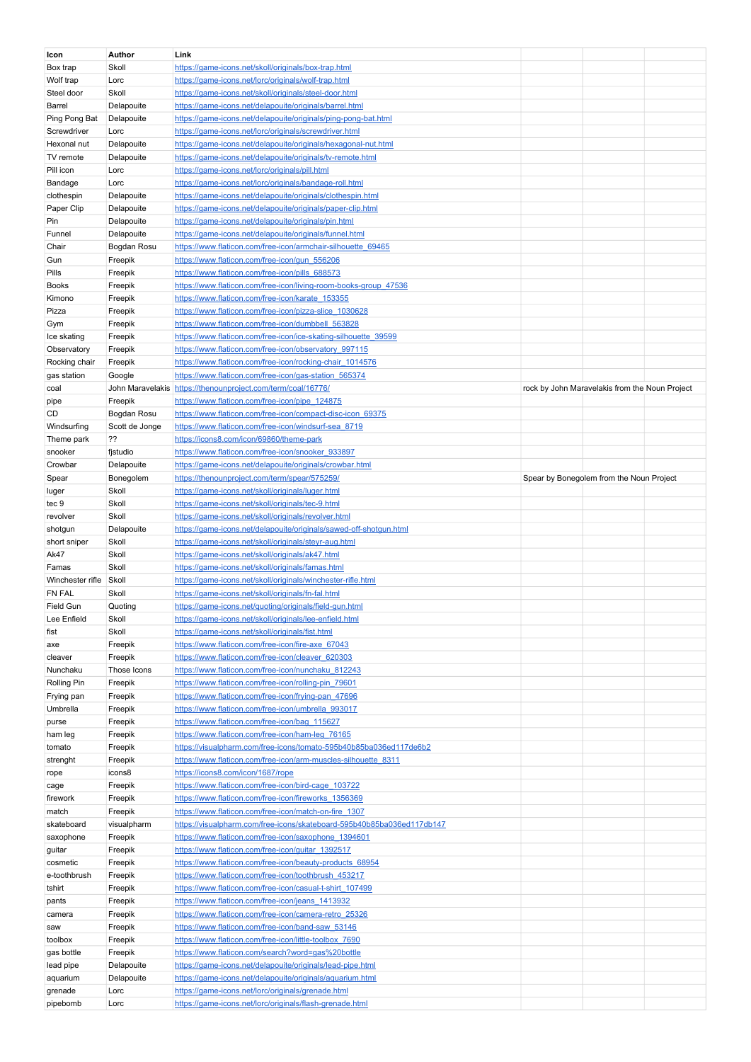| Icon                | <b>Author</b>  | Link                                                                                                           |                                                |  |
|---------------------|----------------|----------------------------------------------------------------------------------------------------------------|------------------------------------------------|--|
| Box trap            | Skoll          | https://game-icons.net/skoll/originals/box-trap.html                                                           |                                                |  |
| Wolf trap           | Lorc           | https://game-icons.net/lorc/originals/wolf-trap.html                                                           |                                                |  |
|                     |                |                                                                                                                |                                                |  |
| Steel door          | Skoll          | https://game-icons.net/skoll/originals/steel-door.html                                                         |                                                |  |
| Barrel              | Delapouite     | https://game-icons.net/delapouite/originals/barrel.html                                                        |                                                |  |
| Ping Pong Bat       | Delapouite     | https://game-icons.net/delapouite/originals/ping-pong-bat.html                                                 |                                                |  |
| Screwdriver         | Lorc           | https://game-icons.net/lorc/originals/screwdriver.html                                                         |                                                |  |
|                     |                |                                                                                                                |                                                |  |
| Hexonal nut         | Delapouite     | https://game-icons.net/delapouite/originals/hexagonal-nut.html                                                 |                                                |  |
| TV remote           | Delapouite     | https://game-icons.net/delapouite/originals/tv-remote.html                                                     |                                                |  |
| Pill icon           | Lorc           | https://game-icons.net/lorc/originals/pill.html                                                                |                                                |  |
| Bandage             | Lorc           | https://game-icons.net/lorc/originals/bandage-roll.html                                                        |                                                |  |
|                     |                |                                                                                                                |                                                |  |
| clothespin          | Delapouite     | https://game-icons.net/delapouite/originals/clothespin.html                                                    |                                                |  |
| Paper Clip          | Delapouite     | https://game-icons.net/delapouite/originals/paper-clip.html                                                    |                                                |  |
| Pin                 | Delapouite     | https://game-icons.net/delapouite/originals/pin.html                                                           |                                                |  |
| Funnel              | Delapouite     | https://game-icons.net/delapouite/originals/funnel.html                                                        |                                                |  |
|                     |                |                                                                                                                |                                                |  |
| Chair               | Bogdan Rosu    | https://www.flaticon.com/free-icon/armchair-silhouette 69465                                                   |                                                |  |
| Gun                 | Freepik        | https://www.flaticon.com/free-icon/gun_556206                                                                  |                                                |  |
| Pills               | Freepik        | https://www.flaticon.com/free-icon/pills_688573                                                                |                                                |  |
| <b>Books</b>        | Freepik        | https://www.flaticon.com/free-icon/living-room-books-group 47536                                               |                                                |  |
|                     |                |                                                                                                                |                                                |  |
| Kimono              | Freepik        | https://www.flaticon.com/free-icon/karate_153355                                                               |                                                |  |
| Pizza               | Freepik        | https://www.flaticon.com/free-icon/pizza-slice 1030628                                                         |                                                |  |
| Gym                 | Freepik        | https://www.flaticon.com/free-icon/dumbbell 563828                                                             |                                                |  |
| Ice skating         | Freepik        | https://www.flaticon.com/free-icon/ice-skating-silhouette_39599                                                |                                                |  |
|                     |                |                                                                                                                |                                                |  |
| Observatory         | Freepik        | https://www.flaticon.com/free-icon/observatory_997115                                                          |                                                |  |
| Rocking chair       | Freepik        | https://www.flaticon.com/free-icon/rocking-chair_1014576                                                       |                                                |  |
| gas station         | Google         | https://www.flaticon.com/free-icon/gas-station 565374                                                          |                                                |  |
| coal                |                | John Maravelakis https://thenounproject.com/term/coal/16776/                                                   | rock by John Maravelakis from the Noun Project |  |
|                     |                |                                                                                                                |                                                |  |
| pipe                | Freepik        | https://www.flaticon.com/free-icon/pipe_124875                                                                 |                                                |  |
| CD                  | Bogdan Rosu    | https://www.flaticon.com/free-icon/compact-disc-icon_69375                                                     |                                                |  |
| Windsurfing         | Scott de Jonge | https://www.flaticon.com/free-icon/windsurf-sea 8719                                                           |                                                |  |
| Theme park          | 22             | https://icons8.com/icon/69860/theme-park                                                                       |                                                |  |
| snooker             | fistudio       | https://www.flaticon.com/free-icon/snooker_933897                                                              |                                                |  |
|                     |                |                                                                                                                |                                                |  |
| Crowbar             | Delapouite     | https://game-icons.net/delapouite/originals/crowbar.html                                                       |                                                |  |
| Spear               | Bonegolem      | https://thenounproject.com/term/spear/575259/                                                                  | Spear by Bonegolem from the Noun Project       |  |
| luger               | Skoll          | https://game-icons.net/skoll/originals/luger.html                                                              |                                                |  |
| tec 9               | Skoll          | https://game-icons.net/skoll/originals/tec-9.html                                                              |                                                |  |
| revolver            | Skoll          | https://game-icons.net/skoll/originals/revolver.html                                                           |                                                |  |
|                     | Delapouite     | https://game-icons.net/delapouite/originals/sawed-off-shotgun.html                                             |                                                |  |
| shotgun             |                |                                                                                                                |                                                |  |
| short sniper        | Skoll          | https://game-icons.net/skoll/originals/steyr-aug.html                                                          |                                                |  |
| Ak47                | Skoll          | https://game-icons.net/skoll/originals/ak47.html                                                               |                                                |  |
| Famas               | Skoll          | https://game-icons.net/skoll/originals/famas.html                                                              |                                                |  |
| Winchester rifle    | Skoll          | https://game-icons.net/skoll/originals/winchester-rifle.html                                                   |                                                |  |
| <b>FN FAL</b>       | Skoll          | https://game-icons.net/skoll/originals/fn-fal.html                                                             |                                                |  |
|                     |                |                                                                                                                |                                                |  |
| Field Gun           | Quoting        | https://game-icons.net/quoting/originals/field-gun.html                                                        |                                                |  |
| Lee Enfield         | Skoll          | https://game-icons.net/skoll/originals/lee-enfield.html                                                        |                                                |  |
| fist                | Skoll          | https://game-icons.net/skoll/originals/fist.html                                                               |                                                |  |
| axe                 | Freepik        | https://www.flaticon.com/free-icon/fire-axe 67043                                                              |                                                |  |
|                     | Freepik        | https://www.flaticon.com/free-icon/cleaver_620303                                                              |                                                |  |
| cleaver             |                |                                                                                                                |                                                |  |
| Nunchaku            | Those Icons    | https://www.flaticon.com/free-icon/nunchaku 812243                                                             |                                                |  |
| Rolling Pin         | Freepik        | https://www.flaticon.com/free-icon/rolling-pin_79601                                                           |                                                |  |
| Frying pan          | Freepik        | https://www.flaticon.com/free-icon/frying-pan_47696                                                            |                                                |  |
| Umbrella            | Freepik        | https://www.flaticon.com/free-icon/umbrella 993017                                                             |                                                |  |
|                     | Freepik        | https://www.flaticon.com/free-icon/bag_115627                                                                  |                                                |  |
| purse               |                |                                                                                                                |                                                |  |
| ham leg             | Freepik        | https://www.flaticon.com/free-icon/ham-leg_76165                                                               |                                                |  |
| tomato              | Freepik        | https://visualpharm.com/free-icons/tomato-595b40b85ba036ed117de6b2                                             |                                                |  |
| strenght            | Freepik        | https://www.flaticon.com/free-icon/arm-muscles-silhouette_8311                                                 |                                                |  |
| rope                | icons8         | https://icons8.com/icon/1687/rope                                                                              |                                                |  |
|                     |                |                                                                                                                |                                                |  |
| cage                | Freepik        | https://www.flaticon.com/free-icon/bird-cage_103722                                                            |                                                |  |
| firework            | Freepik        | https://www.flaticon.com/free-icon/fireworks 1356369                                                           |                                                |  |
| match               | Freepik        | https://www.flaticon.com/free-icon/match-on-fire_1307                                                          |                                                |  |
| skateboard          | visualpharm    | https://visualpharm.com/free-icons/skateboard-595b40b85ba036ed117db147                                         |                                                |  |
| saxophone           | Freepik        | https://www.flaticon.com/free-icon/saxophone 1394601                                                           |                                                |  |
| guitar              | Freepik        | https://www.flaticon.com/free-icon/guitar_1392517                                                              |                                                |  |
|                     |                |                                                                                                                |                                                |  |
| cosmetic            | Freepik        | https://www.flaticon.com/free-icon/beauty-products 68954                                                       |                                                |  |
| e-toothbrush        | Freepik        | https://www.flaticon.com/free-icon/toothbrush 453217                                                           |                                                |  |
| tshirt              | Freepik        | https://www.flaticon.com/free-icon/casual-t-shirt_107499                                                       |                                                |  |
| pants               | Freepik        | https://www.flaticon.com/free-icon/jeans 1413932                                                               |                                                |  |
| camera              | Freepik        | https://www.flaticon.com/free-icon/camera-retro_25326                                                          |                                                |  |
| saw                 | Freepik        | https://www.flaticon.com/free-icon/band-saw 53146                                                              |                                                |  |
|                     |                |                                                                                                                |                                                |  |
| toolbox             | Freepik        | https://www.flaticon.com/free-icon/little-toolbox 7690                                                         |                                                |  |
| gas bottle          | Freepik        | https://www.flaticon.com/search?word=gas%20bottle                                                              |                                                |  |
| lead pipe           |                |                                                                                                                |                                                |  |
|                     | Delapouite     | https://game-icons.net/delapouite/originals/lead-pipe.html                                                     |                                                |  |
|                     | Delapouite     | https://game-icons.net/delapouite/originals/aquarium.html                                                      |                                                |  |
| aquarium            |                |                                                                                                                |                                                |  |
| grenade<br>pipebomb | Lorc<br>Lorc   | https://game-icons.net/lorc/originals/grenade.html<br>https://game-icons.net/lorc/originals/flash-grenade.html |                                                |  |